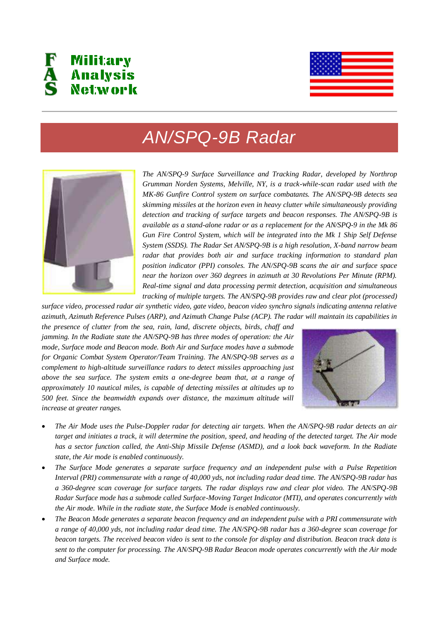



## *AN/SPQ-9B Radar*



*The AN/SPQ-9 Surface Surveillance and Tracking Radar, developed by Northrop Grumman Norden Systems, Melville, NY, is a track-while-scan radar used with the MK-86 Gunfire Control system on surface combatants. The AN/SPQ-9B detects sea skimming missiles at the horizon even in heavy clutter while simultaneously providing detection and tracking of surface targets and beacon responses. The AN/SPQ-9B is available as a stand-alone radar or as a replacement for the AN/SPQ-9 in the Mk 86 Gun Fire Control System, which will be integrated into the Mk 1 Ship Self Defense System (SSDS). The Radar Set AN/SPQ-9B is a high resolution, X-band narrow beam radar that provides both air and surface tracking information to standard plan position indicator (PPI) consoles. The AN/SPQ-9B scans the air and surface space near the horizon over 360 degrees in azimuth at 30 Revolutions Per Minute (RPM). Real-time signal and data processing permit detection, acquisition and simultaneous tracking of multiple targets. The AN/SPQ-9B provides raw and clear plot (processed)* 

*surface video, processed radar air synthetic video, gate video, beacon video synchro signals indicating antenna relative azimuth, Azimuth Reference Pulses (ARP), and Azimuth Change Pulse (ACP). The radar will maintain its capabilities in* 

*the presence of clutter from the sea, rain, land, discrete objects, birds, chaff and jamming. In the Radiate state the AN/SPQ-9B has three modes of operation: the Air mode, Surface mode and Beacon mode. Both Air and Surface modes have a submode for Organic Combat System Operator/Team Training. The AN/SPQ-9B serves as a complement to high-altitude surveillance radars to detect missiles approaching just above the sea surface. The system emits a one-degree beam that, at a range of approximately 10 nautical miles, is capable of detecting missiles at altitudes up to 500 feet. Since the beamwidth expands over distance, the maximum altitude will increase at greater ranges.* 



- *The Air Mode uses the Pulse-Doppler radar for detecting air targets. When the AN/SPQ-9B radar detects an air target and initiates a track, it will determine the position, speed, and heading of the detected target. The Air mode has a sector function called, the Anti-Ship Missile Defense (ASMD), and a look back waveform. In the Radiate state, the Air mode is enabled continuously.*
- *The Surface Mode generates a separate surface frequency and an independent pulse with a Pulse Repetition Interval (PRI) commensurate with a range of 40,000 yds, not including radar dead time. The AN/SPQ-9B radar has a 360-degree scan coverage for surface targets. The radar displays raw and clear plot video. The AN/SPQ-9B Radar Surface mode has a submode called Surface-Moving Target Indicator (MTI), and operates concurrently with the Air mode. While in the radiate state, the Surface Mode is enabled continuously.*
- *The Beacon Mode generates a separate beacon frequency and an independent pulse with a PRI commensurate with a range of 40,000 yds, not including radar dead time. The AN/SPQ-9B radar has a 360-degree scan coverage for beacon targets. The received beacon video is sent to the console for display and distribution. Beacon track data is sent to the computer for processing. The AN/SPQ-9B Radar Beacon mode operates concurrently with the Air mode and Surface mode.*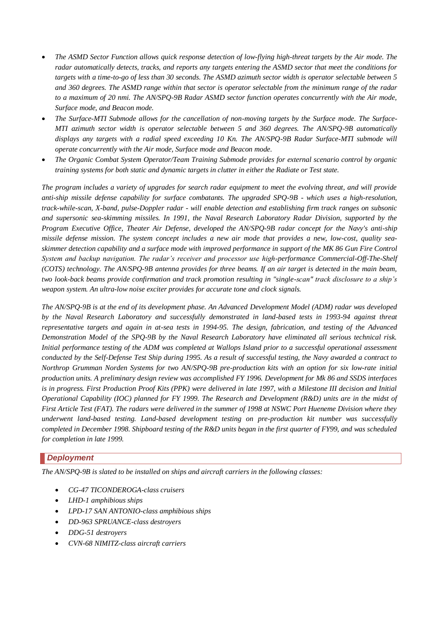- *The ASMD Sector Function allows quick response detection of low-flying high-threat targets by the Air mode. The radar automatically detects, tracks, and reports any targets entering the ASMD sector that meet the conditions for targets with a time-to-go of less than 30 seconds. The ASMD azimuth sector width is operator selectable between 5 and 360 degrees. The ASMD range within that sector is operator selectable from the minimum range of the radar to a maximum of 20 nmi. The AN/SPQ-9B Radar ASMD sector function operates concurrently with the Air mode, Surface mode, and Beacon mode.*
- *The Surface-MTI Submode allows for the cancellation of non-moving targets by the Surface mode. The Surface-MTI azimuth sector width is operator selectable between 5 and 360 degrees. The AN/SPQ-9B automatically displays any targets with a radial speed exceeding 10 Kn. The AN/SPQ-9B Radar Surface-MTI submode will operate concurrently with the Air mode, Surface mode and Beacon mode.*
- *The Organic Combat System Operator/Team Training Submode provides for external scenario control by organic training systems for both static and dynamic targets in clutter in either the Radiate or Test state.*

*The program includes a variety of upgrades for search radar equipment to meet the evolving threat, and will provide anti-ship missile defense capability for surface combatants. The upgraded SPQ-9B - which uses a high-resolution, track-while-scan, X-band, pulse-Doppler radar - will enable detection and establishing firm track ranges on subsonic and supersonic sea-skimming missiles. In 1991, the Naval Research Laboratory Radar Division, supported by the Program Executive Office, Theater Air Defense, developed the AN/SPQ-9B radar concept for the Navy's anti-ship missile defense mission. The system concept includes a new air mode that provides a new, low-cost, quality seaskimmer detection capability and a surface mode with improved performance in support of the MK 86 Gun Fire Control System and backup navigation. The radar's receiver and processor use high-performance Commercial-Off-The-Shelf (COTS) technology. The AN/SPQ-9B antenna provides for three beams. If an air target is detected in the main beam, two look-back beams provide confirmation and track promotion resulting in "single-scan" track disclosure to a ship's weapon system. An ultra-low noise exciter provides for accurate tone and clock signals.* 

*The AN/SPQ-9B is at the end of its development phase. An Advanced Development Model (ADM) radar was developed by the Naval Research Laboratory and successfully demonstrated in land-based tests in 1993-94 against threat representative targets and again in at-sea tests in 1994-95. The design, fabrication, and testing of the Advanced Demonstration Model of the SPQ-9B by the Naval Research Laboratory have eliminated all serious technical risk. Initial performance testing of the ADM was completed at Wallops Island prior to a successful operational assessment conducted by the Self-Defense Test Ship during 1995. As a result of successful testing, the Navy awarded a contract to Northrop Grumman Norden Systems for two AN/SPQ-9B pre-production kits with an option for six low-rate initial production units. A preliminary design review was accomplished FY 1996. Development for Mk 86 and SSDS interfaces is in progress. First Production Proof Kits (PPK) were delivered in late 1997, with a Milestone III decision and Initial Operational Capability (IOC) planned for FY 1999. The Research and Development (R&D) units are in the midst of First Article Test (FAT). The radars were delivered in the summer of 1998 at NSWC Port Hueneme Division where they underwent land-based testing. Land-based development testing on pre-production kit number was successfully completed in December 1998. Shipboard testing of the R&D units began in the first quarter of FY99, and was scheduled for completion in late 1999.* 

## *Deployment*

*The AN/SPQ-9B is slated to be installed on ships and aircraft carriers in the following classes:* 

- *CG-47 TICONDEROGA-class cruisers*
- *LHD-1 amphibious ships*
- *LPD-17 SAN ANTONIO-class amphibious ships*
- *DD-963 SPRUANCE-class destroyers*
- *DDG-51 destroyers*
- *CVN-68 NIMITZ-class aircraft carriers*